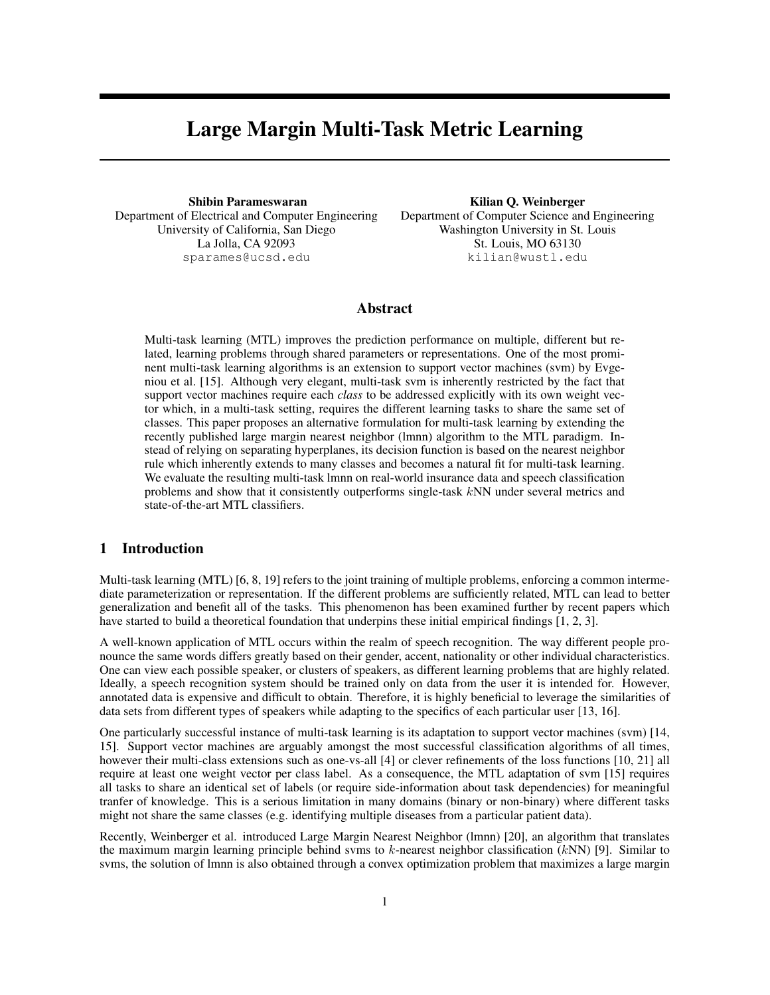# Large Margin Multi-Task Metric Learning

Shibin Parameswaran Department of Electrical and Computer Engineering University of California, San Diego La Jolla, CA 92093 sparames@ucsd.edu

Kilian Q. Weinberger Department of Computer Science and Engineering Washington University in St. Louis St. Louis, MO 63130 kilian@wustl.edu

# Abstract

Multi-task learning (MTL) improves the prediction performance on multiple, different but related, learning problems through shared parameters or representations. One of the most prominent multi-task learning algorithms is an extension to support vector machines (svm) by Evgeniou et al. [15]. Although very elegant, multi-task svm is inherently restricted by the fact that support vector machines require each *class* to be addressed explicitly with its own weight vector which, in a multi-task setting, requires the different learning tasks to share the same set of classes. This paper proposes an alternative formulation for multi-task learning by extending the recently published large margin nearest neighbor (lmnn) algorithm to the MTL paradigm. Instead of relying on separating hyperplanes, its decision function is based on the nearest neighbor rule which inherently extends to many classes and becomes a natural fit for multi-task learning. We evaluate the resulting multi-task lmnn on real-world insurance data and speech classification problems and show that it consistently outperforms single-task kNN under several metrics and state-of-the-art MTL classifiers.

## 1 Introduction

Multi-task learning (MTL) [6, 8, 19] refers to the joint training of multiple problems, enforcing a common intermediate parameterization or representation. If the different problems are sufficiently related, MTL can lead to better generalization and benefit all of the tasks. This phenomenon has been examined further by recent papers which have started to build a theoretical foundation that underpins these initial empirical findings [1, 2, 3].

A well-known application of MTL occurs within the realm of speech recognition. The way different people pronounce the same words differs greatly based on their gender, accent, nationality or other individual characteristics. One can view each possible speaker, or clusters of speakers, as different learning problems that are highly related. Ideally, a speech recognition system should be trained only on data from the user it is intended for. However, annotated data is expensive and difficult to obtain. Therefore, it is highly beneficial to leverage the similarities of data sets from different types of speakers while adapting to the specifics of each particular user [13, 16].

One particularly successful instance of multi-task learning is its adaptation to support vector machines (svm) [14, 15]. Support vector machines are arguably amongst the most successful classification algorithms of all times, however their multi-class extensions such as one-vs-all [4] or clever refinements of the loss functions [10, 21] all require at least one weight vector per class label. As a consequence, the MTL adaptation of svm [15] requires all tasks to share an identical set of labels (or require side-information about task dependencies) for meaningful tranfer of knowledge. This is a serious limitation in many domains (binary or non-binary) where different tasks might not share the same classes (e.g. identifying multiple diseases from a particular patient data).

Recently, Weinberger et al. introduced Large Margin Nearest Neighbor (lmnn) [20], an algorithm that translates the maximum margin learning principle behind svms to  $k$ -nearest neighbor classification ( $kNN$ ) [9]. Similar to svms, the solution of lmnn is also obtained through a convex optimization problem that maximizes a large margin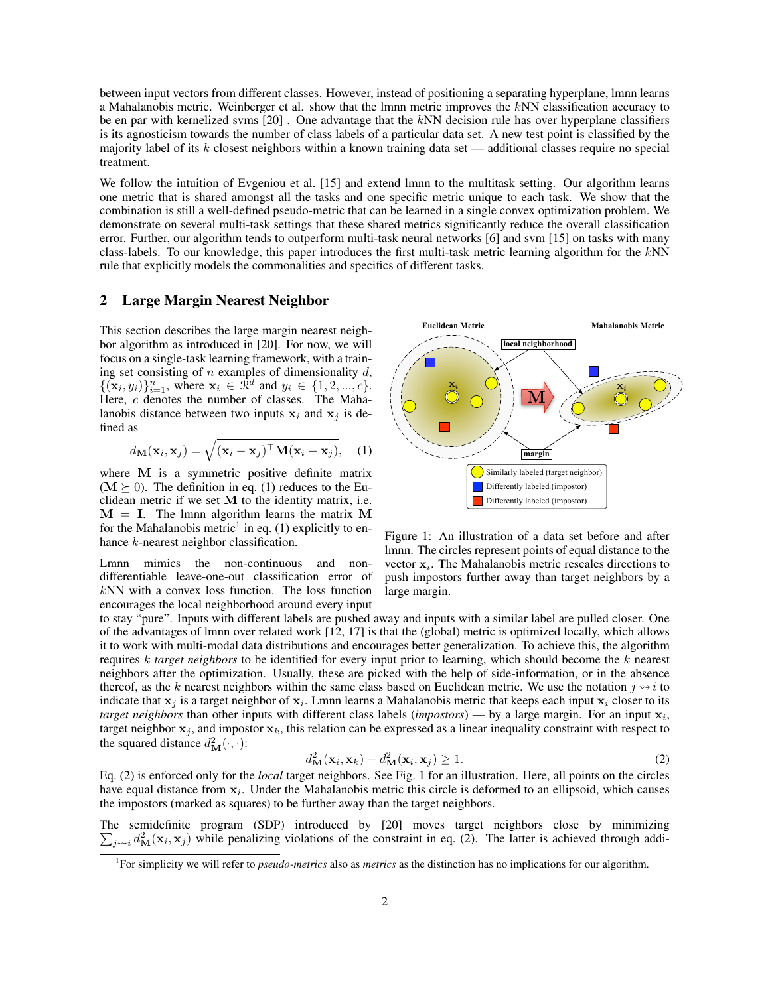between input vectors from different classes. However, instead of positioning a separating hyperplane, lmnn learns a Mahalanobis metric. Weinberger et al. show that the lmnn metric improves the kNN classification accuracy to be en par with kernelized svms [20] . One advantage that the kNN decision rule has over hyperplane classifiers is its agnosticism towards the number of class labels of a particular data set. A new test point is classified by the majority label of its k closest neighbors within a known training data set — additional classes require no special treatment.

We follow the intuition of Evgeniou et al. [15] and extend lmnn to the multitask setting. Our algorithm learns one metric that is shared amongst all the tasks and one specific metric unique to each task. We show that the combination is still a well-defined pseudo-metric that can be learned in a single convex optimization problem. We demonstrate on several multi-task settings that these shared metrics significantly reduce the overall classification error. Further, our algorithm tends to outperform multi-task neural networks [6] and svm [15] on tasks with many class-labels. To our knowledge, this paper introduces the first multi-task metric learning algorithm for the kNN rule that explicitly models the commonalities and specifics of different tasks.

### 2 Large Margin Nearest Neighbor

This section describes the large margin nearest neighbor algorithm as introduced in [20]. For now, we will focus on a single-task learning framework, with a training set consisting of  $n$  examples of dimensionality  $d$ ,  $\{(\mathbf{x}_i, y_i)\}_{i=1}^n$ , where  $\mathbf{x}_i \in \mathbb{R}^d$  and  $y_i \in \{1, 2, ..., c\}$ . Here, c denotes the number of classes. The Mahalanobis distance between two inputs  $x_i$  and  $x_j$  is defined as

$$
d_{\mathbf{M}}(\mathbf{x}_i, \mathbf{x}_j) = \sqrt{(\mathbf{x}_i - \mathbf{x}_j)^{\top} \mathbf{M} (\mathbf{x}_i - \mathbf{x}_j)}, \quad (1)
$$

where M is a symmetric positive definite matrix  $(M \ge 0)$ . The definition in eq. (1) reduces to the Euclidean metric if we set  $M$  to the identity matrix, i.e.  $M = I$ . The lmnn algorithm learns the matrix M for the Mahalanobis metric<sup>1</sup> in eq. (1) explicitly to enhance *k*-nearest neighbor classification.

Lmnn mimics the non-continuous and nondifferentiable leave-one-out classification error of  $kNN$  with a convex loss function. The loss function encourages the local neighborhood around every input



Figure 1: An illustration of a data set before and after lmnn. The circles represent points of equal distance to the vector  $x_i$ . The Mahalanobis metric rescales directions to push impostors further away than target neighbors by a large margin.

to stay "pure". Inputs with different labels are pushed away and inputs with a similar label are pulled closer. One of the advantages of lmnn over related work [12, 17] is that the (global) metric is optimized locally, which allows it to work with multi-modal data distributions and encourages better generalization. To achieve this, the algorithm requires k *target neighbors* to be identified for every input prior to learning, which should become the k nearest neighbors after the optimization. Usually, these are picked with the help of side-information, or in the absence thereof, as the k nearest neighbors within the same class based on Euclidean metric. We use the notation  $j \rightarrow i$  to indicate that  $x_j$  is a target neighbor of  $x_i$ . Lmnn learns a Mahalanobis metric that keeps each input  $x_i$  closer to its *target neighbors* than other inputs with different class labels (*impostors*) — by a large margin. For an input  $x_i$ , target neighbor  $x_i$ , and impostor  $x_k$ , this relation can be expressed as a linear inequality constraint with respect to the squared distance  $d_{\mathbf{M}}^2(\cdot, \cdot)$ :

$$
d_{\mathbf{M}}^2(\mathbf{x}_i, \mathbf{x}_k) - d_{\mathbf{M}}^2(\mathbf{x}_i, \mathbf{x}_j) \ge 1.
$$
 (2)

Eq. (2) is enforced only for the *local* target neighbors. See Fig. 1 for an illustration. Here, all points on the circles have equal distance from  $x_i$ . Under the Mahalanobis metric this circle is deformed to an ellipsoid, which causes the impostors (marked as squares) to be further away than the target neighbors.

The semidefinite program (SDP) introduced by [20] moves target neighbors close by minimizing  $\sum_{j\sim i} d_{\rm M}^2(\mathbf{x}_i, \mathbf{x}_j)$  while penalizing violations of the constraint in eq. (2). The latter is achieved through addi-

<sup>1</sup> For simplicity we will refer to *pseudo-metrics* also as *metrics* as the distinction has no implications for our algorithm.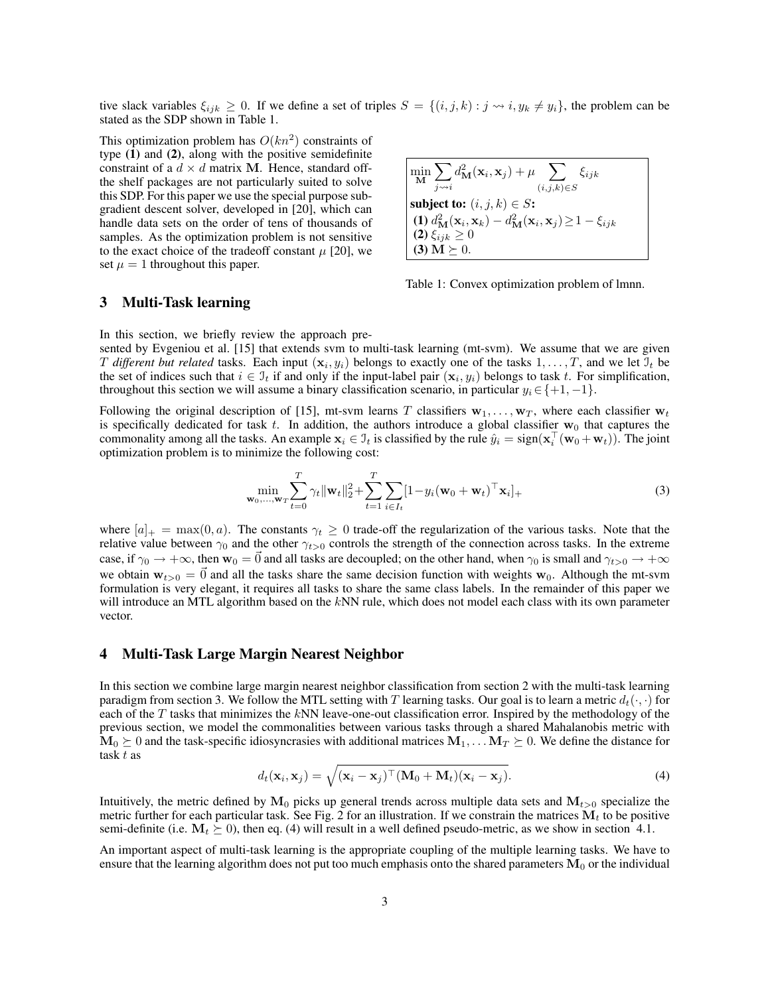tive slack variables  $\xi_{ijk} \geq 0$ . If we define a set of triples  $S = \{(i, j, k) : j \leadsto i, y_k \neq y_i\}$ , the problem can be stated as the SDP shown in Table 1.

This optimization problem has  $O(kn^2)$  constraints of type (1) and (2), along with the positive semidefinite constraint of a  $d \times d$  matrix M. Hence, standard offthe shelf packages are not particularly suited to solve this SDP. For this paper we use the special purpose subgradient descent solver, developed in [20], which can handle data sets on the order of tens of thousands of samples. As the optimization problem is not sensitive to the exact choice of the tradeoff constant  $\mu$  [20], we set  $\mu = 1$  throughout this paper.

$$
\begin{cases}\n\min_{\mathbf{M}} \sum_{j \leadsto i} d_{\mathbf{M}}^2(\mathbf{x}_i, \mathbf{x}_j) + \mu \sum_{(i,j,k) \in S} \xi_{ijk} \\
\text{subject to: } (i, j, k) \in S: \\
(1) d_{\mathbf{M}}^2(\mathbf{x}_i, \mathbf{x}_k) - d_{\mathbf{M}}^2(\mathbf{x}_i, \mathbf{x}_j) \ge 1 - \xi_{ijk} \\
(2) \xi_{ijk} \ge 0 \\
(3) \mathbf{M} \succeq 0.\n\end{cases}
$$

Table 1: Convex optimization problem of lmnn.

### 3 Multi-Task learning

In this section, we briefly review the approach pre-

sented by Evgeniou et al. [15] that extends svm to multi-task learning (mt-svm). We assume that we are given T different but related tasks. Each input  $(x_i, y_i)$  belongs to exactly one of the tasks  $1, \ldots, T$ , and we let  $\mathcal{I}_t$  be the set of indices such that  $i \in \mathcal{I}_t$  if and only if the input-label pair  $(\mathbf{x}_i, y_i)$  belongs to task t. For simplification, throughout this section we will assume a binary classification scenario, in particular  $y_i \in \{+1, -1\}$ .

Following the original description of [15], mt-svm learns T classifiers  $w_1, \ldots, w_T$ , where each classifier  $w_t$ is specifically dedicated for task t. In addition, the authors introduce a global classifier  $w_0$  that captures the commonality among all the tasks. An example  $x_i \in I_t$  is classified by the rule  $\hat{y}_i = sign(x_i^{\top}(\mathbf{w}_0 + \mathbf{w}_t))$ . The joint optimization problem is to minimize the following cost:

$$
\min_{\mathbf{w}_0, ..., \mathbf{w}_T} \sum_{t=0}^T \gamma_t \|\mathbf{w}_t\|_2^2 + \sum_{t=1}^T \sum_{i \in I_t} [1 - y_i (\mathbf{w}_0 + \mathbf{w}_t)^\top \mathbf{x}_i]_+ \tag{3}
$$

where  $[a]_+ = \max(0, a)$ . The constants  $\gamma_t \geq 0$  trade-off the regularization of the various tasks. Note that the relative value between  $\gamma_0$  and the other  $\gamma_{t>0}$  controls the strength of the connection across tasks. In the extreme case, if  $\gamma_0 \to +\infty$ , then  $\mathbf{w}_0 = \vec{0}$  and all tasks are decoupled; on the other hand, when  $\gamma_0$  is small and  $\gamma_{t>0} \to +\infty$ we obtain  $w_{t>0} = \vec{0}$  and all the tasks share the same decision function with weights w<sub>0</sub>. Although the mt-svm formulation is very elegant, it requires all tasks to share the same class labels. In the remainder of this paper we will introduce an MTL algorithm based on the kNN rule, which does not model each class with its own parameter vector.

### 4 Multi-Task Large Margin Nearest Neighbor

In this section we combine large margin nearest neighbor classification from section 2 with the multi-task learning paradigm from section 3. We follow the MTL setting with T learning tasks. Our goal is to learn a metric  $d_t(\cdot, \cdot)$  for each of the  $T$  tasks that minimizes the  $kNN$  leave-one-out classification error. Inspired by the methodology of the previous section, we model the commonalities between various tasks through a shared Mahalanobis metric with  $M_0 \succeq 0$  and the task-specific idiosyncrasies with additional matrices  $M_1, \ldots, M_T \succeq 0$ . We define the distance for task t as

$$
d_t(\mathbf{x}_i, \mathbf{x}_j) = \sqrt{(\mathbf{x}_i - \mathbf{x}_j)^\top (\mathbf{M}_0 + \mathbf{M}_t)(\mathbf{x}_i - \mathbf{x}_j)}.
$$
(4)

Intuitively, the metric defined by  $M_0$  picks up general trends across multiple data sets and  $M_{t>0}$  specialize the metric further for each particular task. See Fig. 2 for an illustration. If we constrain the matrices  $M_t$  to be positive semi-definite (i.e.  $M_t \geq 0$ ), then eq. (4) will result in a well defined pseudo-metric, as we show in section 4.1.

An important aspect of multi-task learning is the appropriate coupling of the multiple learning tasks. We have to ensure that the learning algorithm does not put too much emphasis onto the shared parameters  $M_0$  or the individual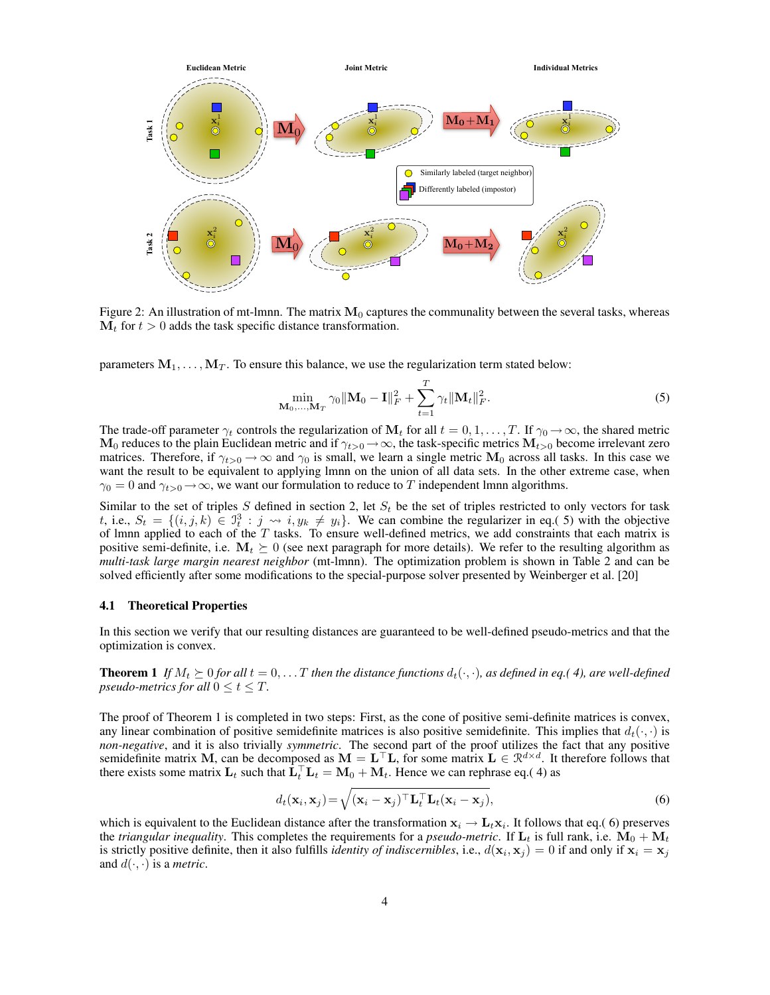

Figure 2: An illustration of mt-lmnn. The matrix  $M_0$  captures the communality between the several tasks, whereas  $M_t$  for  $t > 0$  adds the task specific distance transformation.

parameters  $M_1, \ldots, M_T$ . To ensure this balance, we use the regularization term stated below:

$$
\min_{\mathbf{M}_0, ..., \mathbf{M}_T} \gamma_0 \|\mathbf{M}_0 - \mathbf{I}\|_F^2 + \sum_{t=1}^T \gamma_t \|\mathbf{M}_t\|_F^2.
$$
 (5)

The trade-off parameter  $\gamma_t$  controls the regularization of  $M_t$  for all  $t = 0, 1, \ldots, T$ . If  $\gamma_0 \to \infty$ , the shared metric  $M_0$  reduces to the plain Euclidean metric and if  $\gamma_{t>0}\to\infty$ , the task-specific metrics  $M_{t>0}$  become irrelevant zero matrices. Therefore, if  $\gamma_{t>0} \to \infty$  and  $\gamma_0$  is small, we learn a single metric  $M_0$  across all tasks. In this case we want the result to be equivalent to applying lmnn on the union of all data sets. In the other extreme case, when  $\gamma_0 = 0$  and  $\gamma_{t>0} \rightarrow \infty$ , we want our formulation to reduce to T independent lmnn algorithms.

Similar to the set of triples S defined in section 2, let  $S_t$  be the set of triples restricted to only vectors for task t, i.e.,  $S_t = \{(i, j, k) \in \mathbb{I}_t^3 : j \leadsto i, y_k \neq y_i\}$ . We can combine the regularizer in eq.( 5) with the objective of lmnn applied to each of the  $T$  tasks. To ensure well-defined metrics, we add constraints that each matrix is positive semi-definite, i.e.  $M_t \succeq 0$  (see next paragraph for more details). We refer to the resulting algorithm as *multi-task large margin nearest neighbor* (mt-lmnn). The optimization problem is shown in Table 2 and can be solved efficiently after some modifications to the special-purpose solver presented by Weinberger et al. [20]

### 4.1 Theoretical Properties

In this section we verify that our resulting distances are guaranteed to be well-defined pseudo-metrics and that the optimization is convex.

**Theorem 1** If  $M_t \succeq 0$  for all  $t = 0, \ldots T$  then the distance functions  $d_t(\cdot, \cdot)$ , as defined in eq.(4), are well-defined *pseudo-metrics for all*  $0 \le t \le T$ *.* 

The proof of Theorem 1 is completed in two steps: First, as the cone of positive semi-definite matrices is convex, any linear combination of positive semidefinite matrices is also positive semidefinite. This implies that  $d_t(\cdot, \cdot)$  is *non-negative*, and it is also trivially *symmetric*. The second part of the proof utilizes the fact that any positive semidefinite matrix M, can be decomposed as  $M = L^{\top}L$ , for some matrix  $L \in \mathbb{R}^{d \times d}$ . It therefore follows that there exists some matrix  $\mathbf{L}_t$  such that  $\hat{\mathbf{L}}_t^{\top} \mathbf{L}_t = \mathbf{M}_0 + \mathbf{M}_t$ . Hence we can rephrase eq.(4) as

$$
d_t(\mathbf{x}_i, \mathbf{x}_j) = \sqrt{(\mathbf{x}_i - \mathbf{x}_j)^\top \mathbf{L}_t^\top \mathbf{L}_t (\mathbf{x}_i - \mathbf{x}_j)},
$$
\n(6)

which is equivalent to the Euclidean distance after the transformation  $x_i \to L_t x_i$ . It follows that eq.(6) preserves the *triangular inequality*. This completes the requirements for a *pseudo-metric*. If  $L_t$  is full rank, i.e.  $M_0 + M_t$ is strictly positive definite, then it also fulfills *identity of indiscernibles*, i.e.,  $d(\mathbf{x}_i, \mathbf{x}_j) = 0$  if and only if  $\mathbf{x}_i = \mathbf{x}_j$ and  $d(\cdot, \cdot)$  is a *metric*.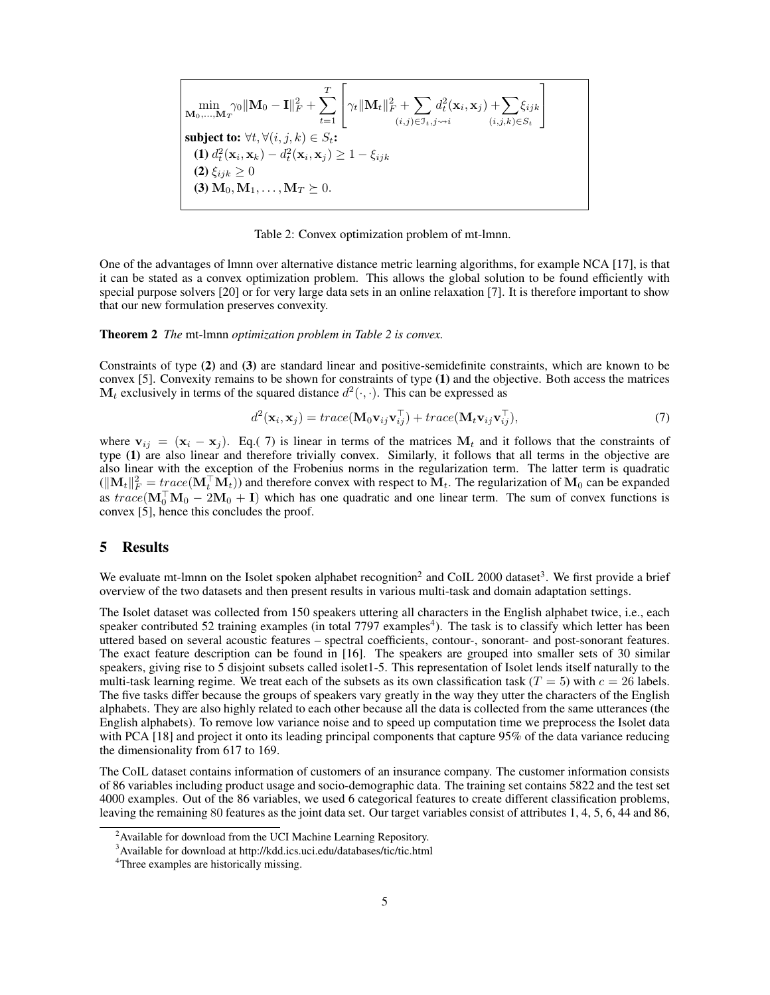$$
\min_{\substack{\mathbf{M}_0,\dots,\mathbf{M}_T \cap \mathbf{M}_0 \mid \mathbf{M}_0 - \mathbf{I} \parallel_F^2 + \sum_{t=1}^T \left[ \gamma_t \|\mathbf{M}_t\|_F^2 + \sum_{(i,j) \in \mathcal{I}_t, j \sim i} d_t^2(\mathbf{x}_i, \mathbf{x}_j) + \sum_{(i,j,k) \in S_t} \xi_{ijk} \right] \text{subject to: } \forall t, \forall (i, j, k) \in S_t: \quad \textbf{(1)} \ d_t^2(\mathbf{x}_i, \mathbf{x}_k) - d_t^2(\mathbf{x}_i, \mathbf{x}_j) \ge 1 - \xi_{ijk} \quad \textbf{(2)} \ \xi_{ijk} \ge 0 \quad \textbf{(3)} \ \mathbf{M}_0, \mathbf{M}_1, \dots, \mathbf{M}_T \succeq 0.
$$

Table 2: Convex optimization problem of mt-lmnn.

One of the advantages of lmnn over alternative distance metric learning algorithms, for example NCA [17], is that it can be stated as a convex optimization problem. This allows the global solution to be found efficiently with special purpose solvers [20] or for very large data sets in an online relaxation [7]. It is therefore important to show that our new formulation preserves convexity.

#### Theorem 2 *The* mt-lmnn *optimization problem in Table 2 is convex.*

Constraints of type (2) and (3) are standard linear and positive-semidefinite constraints, which are known to be convex [5]. Convexity remains to be shown for constraints of type (1) and the objective. Both access the matrices  $M_t$  exclusively in terms of the squared distance  $d^2(\cdot, \cdot)$ . This can be expressed as

$$
d^{2}(\mathbf{x}_{i}, \mathbf{x}_{j}) = trace(\mathbf{M}_{0}\mathbf{v}_{ij}\mathbf{v}_{ij}^{\top}) + trace(\mathbf{M}_{t}\mathbf{v}_{ij}\mathbf{v}_{ij}^{\top}),
$$
\n(7)

where  $v_{ij} = (x_i - x_j)$ . Eq.(7) is linear in terms of the matrices  $M_t$  and it follows that the constraints of type (1) are also linear and therefore trivially convex. Similarly, it follows that all terms in the objective are also linear with the exception of the Frobenius norms in the regularization term. The latter term is quadratic  $(\|\mathbf{M}_t\|_F^2 = trace(\mathbf{M}_t^{\top} \mathbf{M}_t))$  and therefore convex with respect to  $\mathbf{M}_t$ . The regularization of  $\mathbf{M}_0$  can be expanded as  $trace(\mathbf{M}_{0}^{T}\mathbf{M}_{0} - 2\mathbf{M}_{0} + I)$  which has one quadratic and one linear term. The sum of convex functions is convex [5], hence this concludes the proof.

# 5 Results

We evaluate mt-lmnn on the Isolet spoken alphabet recognition<sup>2</sup> and CoIL 2000 dataset<sup>3</sup>. We first provide a brief overview of the two datasets and then present results in various multi-task and domain adaptation settings.

The Isolet dataset was collected from 150 speakers uttering all characters in the English alphabet twice, i.e., each speaker contributed 52 training examples (in total 7797 examples<sup>4</sup>). The task is to classify which letter has been uttered based on several acoustic features – spectral coefficients, contour-, sonorant- and post-sonorant features. The exact feature description can be found in [16]. The speakers are grouped into smaller sets of 30 similar speakers, giving rise to 5 disjoint subsets called isolet1-5. This representation of Isolet lends itself naturally to the multi-task learning regime. We treat each of the subsets as its own classification task  $(T = 5)$  with  $c = 26$  labels. The five tasks differ because the groups of speakers vary greatly in the way they utter the characters of the English alphabets. They are also highly related to each other because all the data is collected from the same utterances (the English alphabets). To remove low variance noise and to speed up computation time we preprocess the Isolet data with PCA [18] and project it onto its leading principal components that capture 95% of the data variance reducing the dimensionality from 617 to 169.

The CoIL dataset contains information of customers of an insurance company. The customer information consists of 86 variables including product usage and socio-demographic data. The training set contains 5822 and the test set 4000 examples. Out of the 86 variables, we used 6 categorical features to create different classification problems, leaving the remaining 80 features as the joint data set. Our target variables consist of attributes 1, 4, 5, 6, 44 and 86,

<sup>&</sup>lt;sup>2</sup> Available for download from the UCI Machine Learning Repository.

<sup>3</sup>Available for download at http://kdd.ics.uci.edu/databases/tic/tic.html

<sup>&</sup>lt;sup>4</sup>Three examples are historically missing.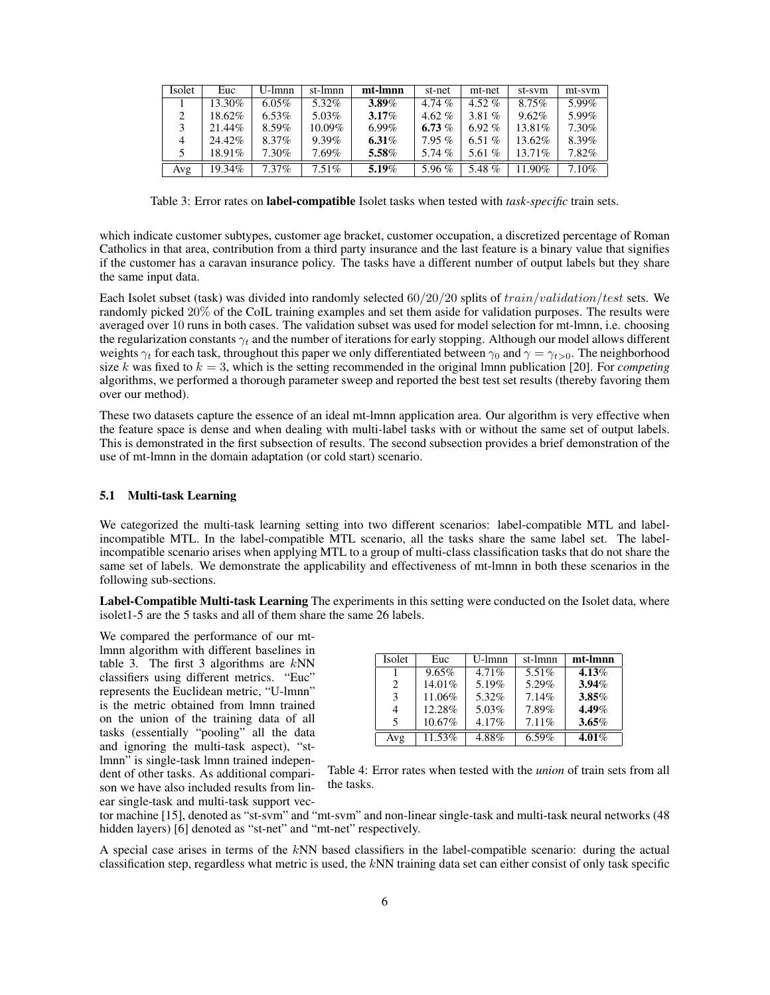| Isolet | Euc    | U-lmnn   | st-lmnn  | mt-lmnn  | st-net   | mt-net   | st-sym  | mt-sym   |
|--------|--------|----------|----------|----------|----------|----------|---------|----------|
|        | 13.30% | $6.05\%$ | 5.32%    | 3.89%    | 4.74 $%$ | 4.52 $%$ | 8.75%   | 5.99%    |
|        | 18.62% | $6.53\%$ | 5.03%    | $3.17\%$ | 4.62 $%$ | 3.81 $%$ | 9.62%   | 5.99%    |
|        | 21.44% | $8.59\%$ | 10.09%   | $6.99\%$ | 6.73 $%$ | $6.92\%$ | 13.81%  | 7.30%    |
| 4      | 24.42% | 8.37%    | $9.39\%$ | 6.31 $%$ | $7.95\%$ | 6.51 $%$ | 13.62%  | 8.39%    |
| 5.     | 18.91% | 7.30%    | $7.69\%$ | 5.58%    | 5.74 $%$ | 5.61 $%$ | 13.71\% | 7.82%    |
| Avg    | 19.34% | $7.37\%$ | $7.51\%$ | 5.19%    | 5.96 $%$ | 5.48 %   | 11.90%  | $7.10\%$ |

Table 3: Error rates on label-compatible Isolet tasks when tested with *task-specific* train sets.

which indicate customer subtypes, customer age bracket, customer occupation, a discretized percentage of Roman Catholics in that area, contribution from a third party insurance and the last feature is a binary value that signifies if the customer has a caravan insurance policy. The tasks have a different number of output labels but they share the same input data.

Each Isolet subset (task) was divided into randomly selected  $60/20/20$  splits of  $train/validation/test$  sets. We randomly picked 20% of the CoIL training examples and set them aside for validation purposes. The results were averaged over 10 runs in both cases. The validation subset was used for model selection for mt-lmnn, i.e. choosing the regularization constants  $\gamma_t$  and the number of iterations for early stopping. Although our model allows different weights  $\gamma_t$  for each task, throughout this paper we only differentiated between  $\gamma_0$  and  $\gamma = \gamma_{t>0}$ . The neighborhood size k was fixed to  $k = 3$ , which is the setting recommended in the original lmnn publication [20]. For *competing* algorithms, we performed a thorough parameter sweep and reported the best test set results (thereby favoring them over our method).

These two datasets capture the essence of an ideal mt-lmnn application area. Our algorithm is very effective when the feature space is dense and when dealing with multi-label tasks with or without the same set of output labels. This is demonstrated in the first subsection of results. The second subsection provides a brief demonstration of the use of mt-lmnn in the domain adaptation (or cold start) scenario.

### 5.1 Multi-task Learning

We categorized the multi-task learning setting into two different scenarios: label-compatible MTL and labelincompatible MTL. In the label-compatible MTL scenario, all the tasks share the same label set. The labelincompatible scenario arises when applying MTL to a group of multi-class classification tasks that do not share the same set of labels. We demonstrate the applicability and effectiveness of mt-lmnn in both these scenarios in the following sub-sections.

Label-Compatible Multi-task Learning The experiments in this setting were conducted on the Isolet data, where isolet1-5 are the 5 tasks and all of them share the same 26 labels.

We compared the performance of our mtlmnn algorithm with different baselines in table 3. The first 3 algorithms are  $kNN$ classifiers using different metrics. "Euc" represents the Euclidean metric, "U-lmnn" is the metric obtained from lmnn trained on the union of the training data of all tasks (essentially "pooling" all the data and ignoring the multi-task aspect), "stlmnn" is single-task lmnn trained independent of other tasks. As additional comparison we have also included results from linear single-task and multi-task support vec-

| Isolet | Euc    | U-lmnn   | st-lmnn  | mt-Imnn  |
|--------|--------|----------|----------|----------|
|        | 9.65%  | $4.71\%$ | 5.51%    | 4.13%    |
| 2      | 14.01% | 5.19%    | 5.29%    | 3.94%    |
| 3      | 11.06% | 5.32%    | 7.14%    | 3.85%    |
| 4      | 12.28% | 5.03%    | 7.89%    | $4.49\%$ |
| 5      | 10.67% | 4.17%    | $7.11\%$ | $3.65\%$ |
| Avg    | 11.53% | 4.88%    | $6.59\%$ | $4.01\%$ |

| Table 4: Error rates when tested with the <i>union</i> of train sets from all |  |  |  |  |  |  |
|-------------------------------------------------------------------------------|--|--|--|--|--|--|
| the tasks.                                                                    |  |  |  |  |  |  |

tor machine [15], denoted as "st-svm" and "mt-svm" and non-linear single-task and multi-task neural networks (48 hidden layers) [6] denoted as "st-net" and "mt-net" respectively.

A special case arises in terms of the kNN based classifiers in the label-compatible scenario: during the actual classification step, regardless what metric is used, the kNN training data set can either consist of only task specific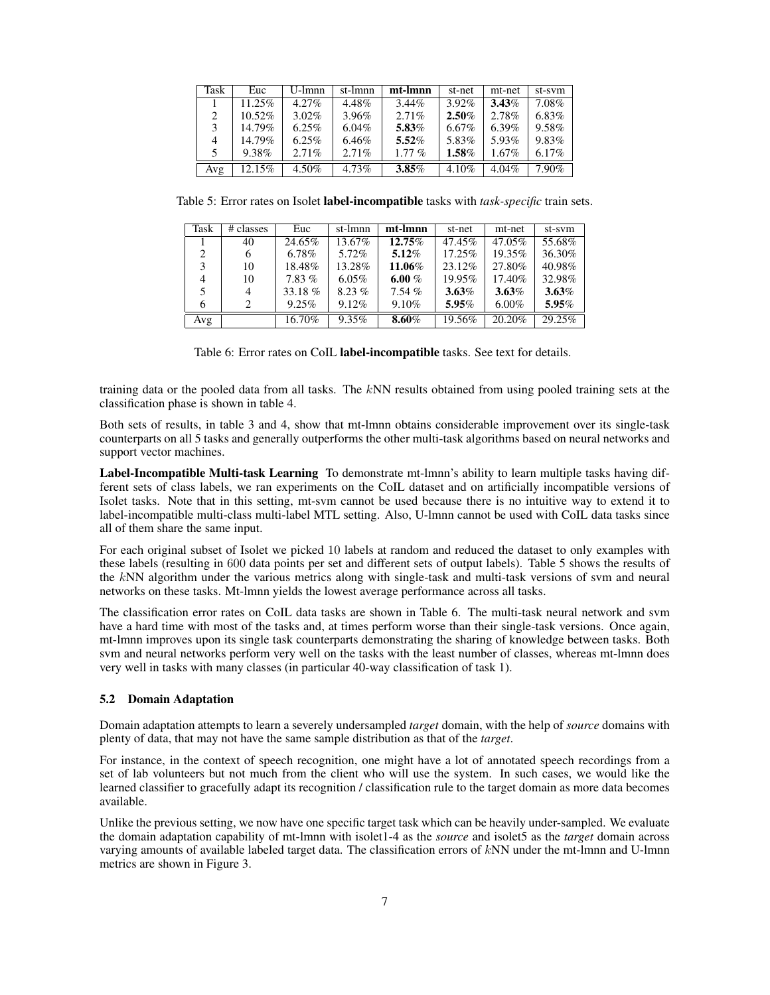| Task | Euc       | $U$ -lmnn | st-lmnn  | mt-Imnn  | st-net   | mt-net   | st-sym   |
|------|-----------|-----------|----------|----------|----------|----------|----------|
|      | 11.25%    | $4.27\%$  | 4.48%    | $3.44\%$ | $3.92\%$ | 3.43%    | 7.08%    |
| 2    | $10.52\%$ | $3.02\%$  | 3.96%    | 2.71%    | 2.50%    | 2.78%    | $6.83\%$ |
| 3    | 14.79%    | $6.25\%$  | $6.04\%$ | 5.83%    | 6.67%    | $6.39\%$ | 9.58%    |
| 4    | 14.79%    | $6.25\%$  | 6.46%    | $5.52\%$ | 5.83%    | 5.93%    | 9.83%    |
| 5    | 9.38%     | 2.71%     | 2.71%    | $1.77\%$ | $1.58\%$ | $1.67\%$ | 6.17%    |
| Avg  | 12.15%    | 4.50%     | 4.73%    | $3.85\%$ | 4.10%    | $4.04\%$ | 7.90%    |

Table 5: Error rates on Isolet label-incompatible tasks with *task-specific* train sets.

| Task                        | # classes | Euc      | st-lmnn  | mt-Imnn  | st-net   | mt-net   | st-sym   |
|-----------------------------|-----------|----------|----------|----------|----------|----------|----------|
|                             | 40        | 24.65%   | 13.67%   | 12.75%   | 47.45%   | 47.05%   | 55.68%   |
| $\mathcal{D}_{\mathcal{A}}$ | 6         | 6.78%    | 5.72%    | $5.12\%$ | 17.25%   | 19.35%   | 36.30%   |
| 3                           | 10        | 18.48%   | 13.28%   | 11.06%   | 23.12%   | 27.80%   | 40.98%   |
| 4                           | 10        | $7.83\%$ | $6.05\%$ | 6.00 $%$ | 19.95%   | 17.40%   | 32.98%   |
|                             | 4         | 33.18%   | $8.23\%$ | $7.54\%$ | $3.63\%$ | $3.63\%$ | $3.63\%$ |
| 6                           |           | 9.25%    | 9.12%    | 9.10%    | $5.95\%$ | $6.00\%$ | 5.95%    |
| Avg                         |           | 16.70%   | $9.35\%$ | $8.60\%$ | 19.56%   | 20.20%   | 29.25%   |

training data or the pooled data from all tasks. The kNN results obtained from using pooled training sets at the classification phase is shown in table 4.

Both sets of results, in table 3 and 4, show that mt-lmnn obtains considerable improvement over its single-task counterparts on all 5 tasks and generally outperforms the other multi-task algorithms based on neural networks and support vector machines.

Label-Incompatible Multi-task Learning To demonstrate mt-lmnn's ability to learn multiple tasks having different sets of class labels, we ran experiments on the CoIL dataset and on artificially incompatible versions of Isolet tasks. Note that in this setting, mt-svm cannot be used because there is no intuitive way to extend it to label-incompatible multi-class multi-label MTL setting. Also, U-lmnn cannot be used with CoIL data tasks since all of them share the same input.

For each original subset of Isolet we picked 10 labels at random and reduced the dataset to only examples with these labels (resulting in 600 data points per set and different sets of output labels). Table 5 shows the results of the kNN algorithm under the various metrics along with single-task and multi-task versions of svm and neural networks on these tasks. Mt-lmnn yields the lowest average performance across all tasks.

The classification error rates on CoIL data tasks are shown in Table 6. The multi-task neural network and svm have a hard time with most of the tasks and, at times perform worse than their single-task versions. Once again, mt-lmnn improves upon its single task counterparts demonstrating the sharing of knowledge between tasks. Both svm and neural networks perform very well on the tasks with the least number of classes, whereas mt-lmnn does very well in tasks with many classes (in particular 40-way classification of task 1).

### 5.2 Domain Adaptation

Domain adaptation attempts to learn a severely undersampled *target* domain, with the help of *source* domains with plenty of data, that may not have the same sample distribution as that of the *target*.

For instance, in the context of speech recognition, one might have a lot of annotated speech recordings from a set of lab volunteers but not much from the client who will use the system. In such cases, we would like the learned classifier to gracefully adapt its recognition / classification rule to the target domain as more data becomes available.

Unlike the previous setting, we now have one specific target task which can be heavily under-sampled. We evaluate the domain adaptation capability of mt-lmnn with isolet1-4 as the *source* and isolet5 as the *target* domain across varying amounts of available labeled target data. The classification errors of kNN under the mt-lmnn and U-lmnn metrics are shown in Figure 3.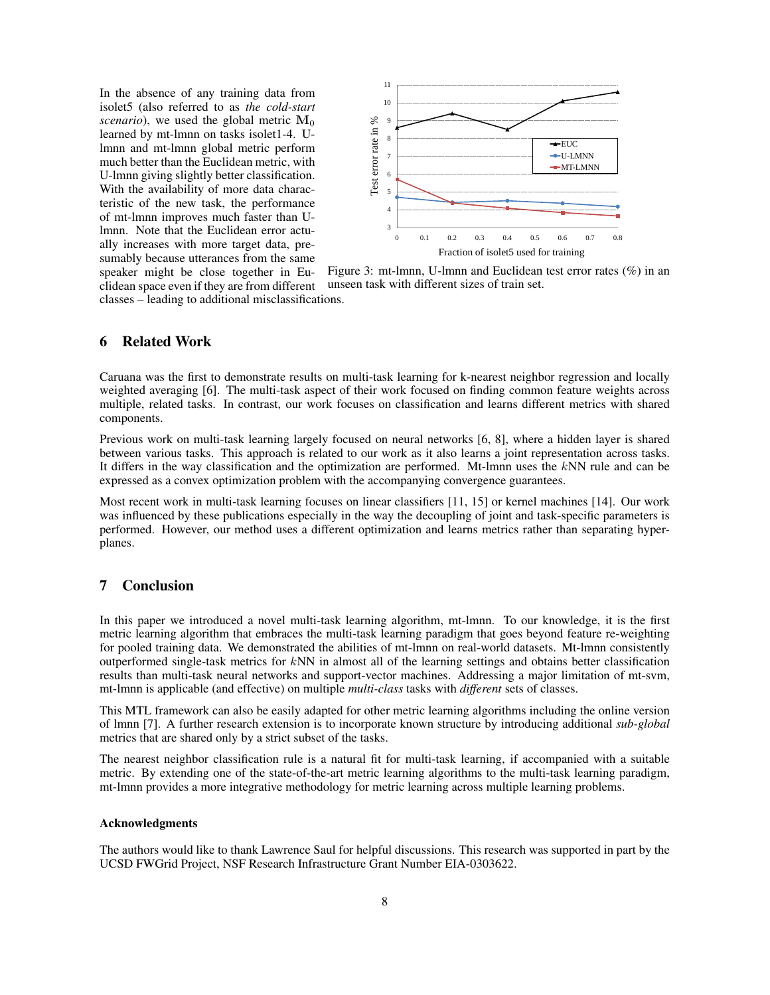In the absence of any training data from isolet5 (also referred to as *the cold-start scenario*), we used the global metric  $M_0$ learned by mt-lmnn on tasks isolet1-4. Ulmnn and mt-lmnn global metric perform much better than the Euclidean metric, with U-lmnn giving slightly better classification. With the availability of more data characteristic of the new task, the performance of mt-lmnn improves much faster than Ulmnn. Note that the Euclidean error actually increases with more target data, presumably because utterances from the same



Figure 3: mt-lmnn, U-lmnn and Euclidean test error rates (%) in an unseen task with different sizes of train set.

speaker might be close together in Euclidean space even if they are from different classes – leading to additional misclassifications.

# 6 Related Work

Caruana was the first to demonstrate results on multi-task learning for k-nearest neighbor regression and locally weighted averaging [6]. The multi-task aspect of their work focused on finding common feature weights across multiple, related tasks. In contrast, our work focuses on classification and learns different metrics with shared components.

Previous work on multi-task learning largely focused on neural networks [6, 8], where a hidden layer is shared between various tasks. This approach is related to our work as it also learns a joint representation across tasks. It differs in the way classification and the optimization are performed. Mt-lmnn uses the kNN rule and can be expressed as a convex optimization problem with the accompanying convergence guarantees.

Most recent work in multi-task learning focuses on linear classifiers [11, 15] or kernel machines [14]. Our work was influenced by these publications especially in the way the decoupling of joint and task-specific parameters is performed. However, our method uses a different optimization and learns metrics rather than separating hyperplanes.

# 7 Conclusion

In this paper we introduced a novel multi-task learning algorithm, mt-lmnn. To our knowledge, it is the first metric learning algorithm that embraces the multi-task learning paradigm that goes beyond feature re-weighting for pooled training data. We demonstrated the abilities of mt-lmnn on real-world datasets. Mt-lmnn consistently outperformed single-task metrics for kNN in almost all of the learning settings and obtains better classification results than multi-task neural networks and support-vector machines. Addressing a major limitation of mt-svm, mt-lmnn is applicable (and effective) on multiple *multi-class* tasks with *different* sets of classes.

This MTL framework can also be easily adapted for other metric learning algorithms including the online version of lmnn [7]. A further research extension is to incorporate known structure by introducing additional *sub-global* metrics that are shared only by a strict subset of the tasks.

The nearest neighbor classification rule is a natural fit for multi-task learning, if accompanied with a suitable metric. By extending one of the state-of-the-art metric learning algorithms to the multi-task learning paradigm, mt-lmnn provides a more integrative methodology for metric learning across multiple learning problems.

### Acknowledgments

The authors would like to thank Lawrence Saul for helpful discussions. This research was supported in part by the UCSD FWGrid Project, NSF Research Infrastructure Grant Number EIA-0303622.